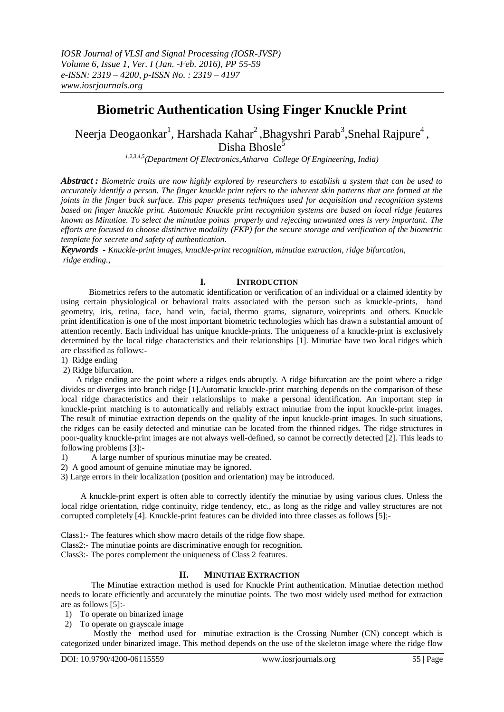# **Biometric Authentication Using Finger Knuckle Print**

Neerja Deogaonkar $^1$ , Harshada Kahar $^2$ ,Bhagyshri Parab $^3$ ,Snehal Rajpure $^4$ ,

Disha Bhosle<sup>5</sup>

*1,2,3,4,5(Department Of Electronics,Atharva College Of Engineering, India)*

*Abstract : Biometric traits are now highly explored by researchers to establish a system that can be used to accurately identify a person. The finger knuckle print refers to the inherent skin patterns that are formed at the joints in the finger back surface. This paper presents techniques used for acquisition and recognition systems based on finger knuckle print. Automatic Knuckle print recognition systems are based on local ridge features known as Minutiae. To select the minutiae points properly and rejecting unwanted ones is very important. The efforts are focused to choose distinctive modality (FKP) for the secure storage and verification of the biometric template for secrete and safety of authentication.*

*Keywords - Knuckle-print images, knuckle-print recognition, minutiae extraction, ridge bifurcation, ridge ending.,* 

#### **I. INTRODUCTION**

 Biometrics refers to the automatic identification or verification of an individual or a claimed identity by using certain physiological or behavioral traits associated with the person such as knuckle-prints, hand geometry, iris, retina, face, hand vein, facial, thermo grams, signature, voiceprints and others. Knuckle print identification is one of the most important biometric technologies which has drawn a substantial amount of attention recently. Each individual has unique knuckle-prints. The uniqueness of a knuckle-print is exclusively determined by the local ridge characteristics and their relationships [1]. Minutiae have two local ridges which are classified as follows:-

- 1) Ridge ending
- 2) Ridge bifurcation.

A ridge ending are the point where a ridges ends abruptly. A ridge bifurcation are the point where a ridge divides or diverges into branch ridge [1].Automatic knuckle-print matching depends on the comparison of these local ridge characteristics and their relationships to make a personal identification. An important step in knuckle-print matching is to automatically and reliably extract minutiae from the input knuckle-print images. The result of minutiae extraction depends on the quality of the input knuckle-print images. In such situations, the ridges can be easily detected and minutiae can be located from the thinned ridges. The ridge structures in poor-quality knuckle-print images are not always well-defined, so cannot be correctly detected [2]. This leads to following problems [3]:-

1) A large number of spurious minutiae may be created.

2) A good amount of genuine minutiae may be ignored.

3) Large errors in their localization (position and orientation) may be introduced.

 A knuckle-print expert is often able to correctly identify the minutiae by using various clues. Unless the local ridge orientation, ridge continuity, ridge tendency, etc., as long as the ridge and valley structures are not corrupted completely [4]. Knuckle-print features can be divided into three classes as follows [5];-

Class1:- The features which show macro details of the ridge flow shape.

Class2:- The minutiae points are discriminative enough for recognition.

Class3:- The pores complement the uniqueness of Class 2 features.

## **II. MINUTIAE EXTRACTION**

The Minutiae extraction method is used for Knuckle Print authentication. Minutiae detection method needs to locate efficiently and accurately the minutiae points. The two most widely used method for extraction are as follows [5]:-

1) To operate on binarized image

2) To operate on grayscale image

Mostly the method used for minutiae extraction is the Crossing Number (CN) concept which is categorized under binarized image. This method depends on the use of the skeleton image where the ridge flow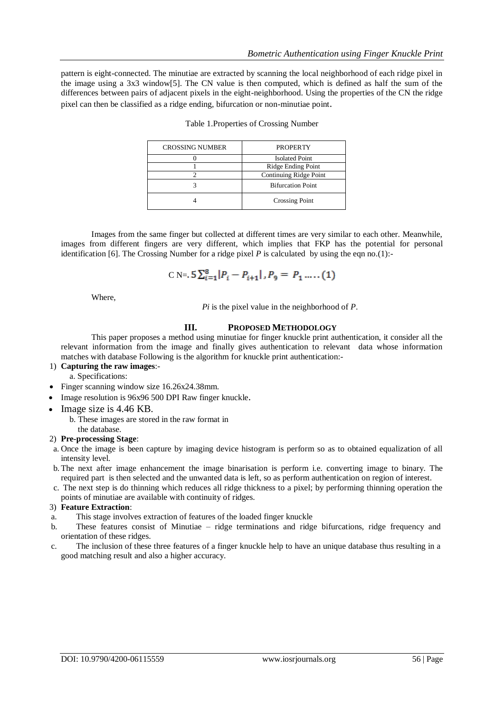pattern is eight-connected. The minutiae are extracted by scanning the local neighborhood of each ridge pixel in the image using a 3x3 window[5]. The CN value is then computed, which is defined as half the sum of the differences between pairs of adjacent pixels in the eight-neighborhood. Using the properties of the CN the ridge pixel can then be classified as a ridge ending, bifurcation or non-minutiae point.

| <b>CROSSING NUMBER</b> | <b>PROPERTY</b>          |  |  |  |
|------------------------|--------------------------|--|--|--|
|                        | <b>Isolated Point</b>    |  |  |  |
|                        | Ridge Ending Point       |  |  |  |
|                        | Continuing Ridge Point   |  |  |  |
|                        | <b>Bifurcation Point</b> |  |  |  |
|                        | <b>Crossing Point</b>    |  |  |  |

|  |  |  | Table 1. Properties of Crossing Number |
|--|--|--|----------------------------------------|
|  |  |  |                                        |

Images from the same finger but collected at different times are very similar to each other. Meanwhile, images from different fingers are very different, which implies that FKP has the potential for personal identification [6]. The Crossing Number for a ridge pixel  $P$  is calculated by using the eqn no.(1):-

$$
C \text{ N} = 5 \sum_{i=1}^{8} |P_i - P_{i+1}|, P_9 = P_1 \dots (1)
$$

Where,

*Pi* is the pixel value in the neighborhood of *P*.

#### **III. PROPOSED METHODOLOGY**

This paper proposes a method using minutiae for finger knuckle print authentication, it consider all the relevant information from the image and finally gives authentication to relevant data whose information matches with database Following is the algorithm for knuckle print authentication:-

# 1) **Capturing the raw images**:-

a. Specifications:

- Finger scanning window size 16.26x24.38mm.
- Image resolution is 96x96 500 DPI Raw finger knuckle.
- $\bullet$  Image size is 4.46 KB.
	- b. These images are stored in the raw format in the database.

# 2) **Pre-processing Stage**:

- a. Once the image is been capture by imaging device histogram is perform so as to obtained equalization of all intensity level.
- b. The next after image enhancement the image binarisation is perform i.e. converting image to binary. The required part is then selected and the unwanted data is left, so as perform authentication on region of interest.
- c. The next step is do thinning which reduces all ridge thickness to a pixel; by performing thinning operation the points of minutiae are available with continuity of ridges.

#### 3) **Feature Extraction**:

- a. This stage involves extraction of features of the loaded finger knuckle
- b. These features consist of Minutiae ridge terminations and ridge bifurcations, ridge frequency and orientation of these ridges.
- c. The inclusion of these three features of a finger knuckle help to have an unique database thus resulting in a good matching result and also a higher accuracy.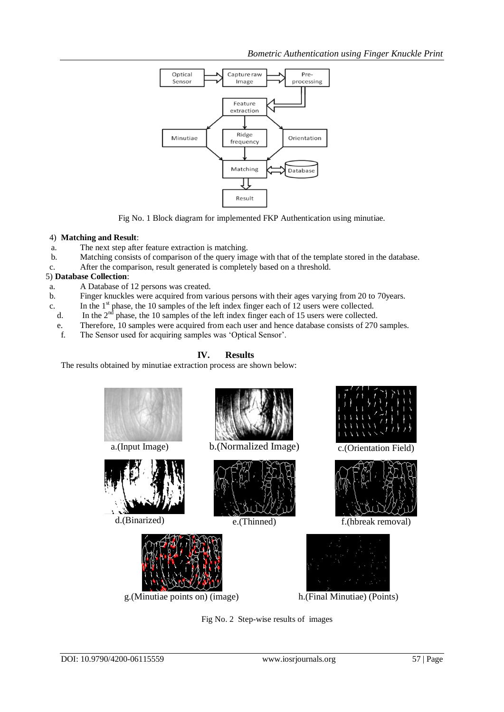

Fig No. 1 Block diagram for implemented FKP Authentication using minutiae.

#### 4) **Matching and Result**:

- a. The next step after feature extraction is matching.
- b. Matching consists of comparison of the query image with that of the template stored in the database.
- c. After the comparison, result generated is completely based on a threshold.

#### 5) **Database Collection**:

- a. A Database of 12 persons was created.
- b. Finger knuckles were acquired from various persons with their ages varying from 20 to 70years.
- c. In the  $1<sup>st</sup>$  phase, the 10 samples of the left index finger each of 12 users were collected.
- d. In the  $2<sup>nd</sup>$  phase, the 10 samples of the left index finger each of 15 users were collected.
- e. Therefore, 10 samples were acquired from each user and hence database consists of 270 samples.
- f. The Sensor used for acquiring samples was 'Optical Sensor'.

# **IV. Results**

The results obtained by minutiae extraction process are shown below:



Fig No. 2 Step-wise results of images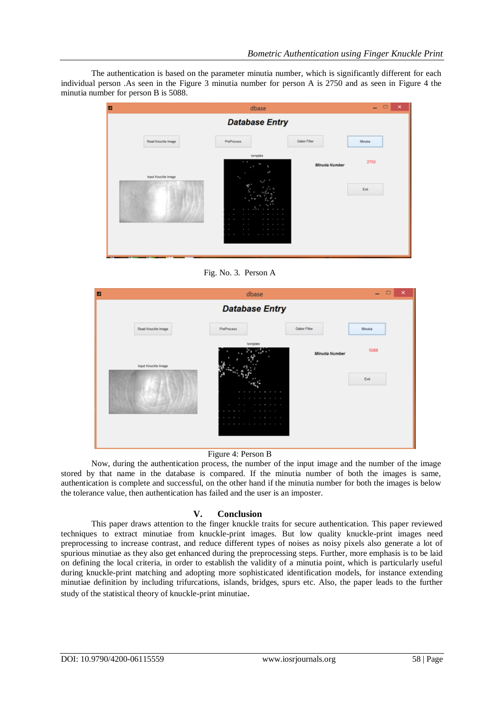The authentication is based on the parameter minutia number, which is significantly different for each individual person .As seen in the Figure 3 minutia number for person A is 2750 and as seen in Figure 4 the minutia number for person B is 5088.



Fig. No. 3. Person A

| D                     | dbase                                                                                                                                |                     | $\Box$<br>$\mathbf{x}$<br>- |  |  |  |  |
|-----------------------|--------------------------------------------------------------------------------------------------------------------------------------|---------------------|-----------------------------|--|--|--|--|
| <b>Database Entry</b> |                                                                                                                                      |                     |                             |  |  |  |  |
| Read Knuckle Image    | PreProcess                                                                                                                           | <b>Gabor Filter</b> | Minutia                     |  |  |  |  |
| Input Knuckle Image   | template<br>.<br>.<br>$1 - 1 - 1 - 1 - 1$<br>$1 - 1 - 1 - 1 - 1 - 1$<br><b>All All All All All All</b><br>$1 - 1 - 1 - 1$<br>.<br>×. | Minutia Number      | 5088<br>Ext                 |  |  |  |  |

Figure 4: Person B

Now, during the authentication process, the number of the input image and the number of the image stored by that name in the database is compared. If the minutia number of both the images is same, authentication is complete and successful, on the other hand if the minutia number for both the images is below the tolerance value, then authentication has failed and the user is an imposter.

## **V. Conclusion**

This paper draws attention to the finger knuckle traits for secure authentication. This paper reviewed techniques to extract minutiae from knuckle-print images. But low quality knuckle-print images need preprocessing to increase contrast, and reduce different types of noises as noisy pixels also generate a lot of spurious minutiae as they also get enhanced during the preprocessing steps. Further, more emphasis is to be laid on defining the local criteria, in order to establish the validity of a minutia point, which is particularly useful during knuckle-print matching and adopting more sophisticated identification models, for instance extending minutiae definition by including trifurcations, islands, bridges, spurs etc. Also, the paper leads to the further study of the statistical theory of knuckle-print minutiae.